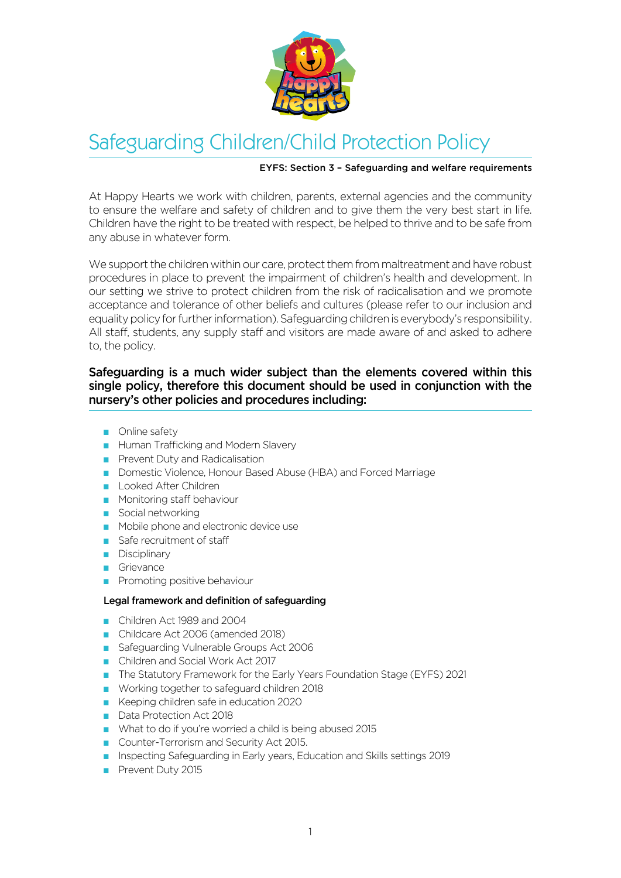

# Safeguarding Children/Child Protection Policy

## EYFS: Section 3 – Safeguarding and welfare requirements

At Happy Hearts we work with children, parents, external agencies and the community to ensure the welfare and safety of children and to give them the very best start in life. Children have the right to be treated with respect, be helped to thrive and to be safe from any abuse in whatever form.

We support the children within our care, protect them from maltreatment and have robust procedures in place to prevent the impairment of children's health and development. In our setting we strive to protect children from the risk of radicalisation and we promote acceptance and tolerance of other beliefs and cultures (please refer to our inclusion and equality policy for further information). Safeguarding children is everybody's responsibility. All staff, students, any supply staff and visitors are made aware of and asked to adhere to, the policy.

## Safeguarding is a much wider subject than the elements covered within this single policy, therefore this document should be used in conjunction with the nursery's other policies and procedures including:

- $\Box$  Online safety
- **Human Trafficking and Modern Slavery**
- **Prevent Duty and Radicalisation**
- Domestic Violence, Honour Based Abuse (HBA) and Forced Marriage
- **Looked After Children**
- **Monitoring staff behaviour**
- $\blacksquare$  Social networking
- $\blacksquare$  Mobile phone and electronic device use
- $\blacksquare$  Safe recruitment of staff
- $\Box$  Disciplinary
- Grievance
- **Promoting positive behaviour**

## Legal framework and definition of safeguarding

- Children Act 1989 and 2004
- Childcare Act 2006 (amended 2018)
- Safeguarding Vulnerable Groups Act 2006
- Q Children and Social Work Act 2017
- The Statutory Framework for the Early Years Foundation Stage (EYFS) 2021
- Working together to safeguard children 2018
- Keeping children safe in education 2020
- Data Protection Act 2018
- What to do if you're worried a child is being abused 2015
- Counter-Terrorism and Security Act 2015.
- **n** Inspecting Safeguarding in Early years, Education and Skills settings 2019
- Prevent Duty 2015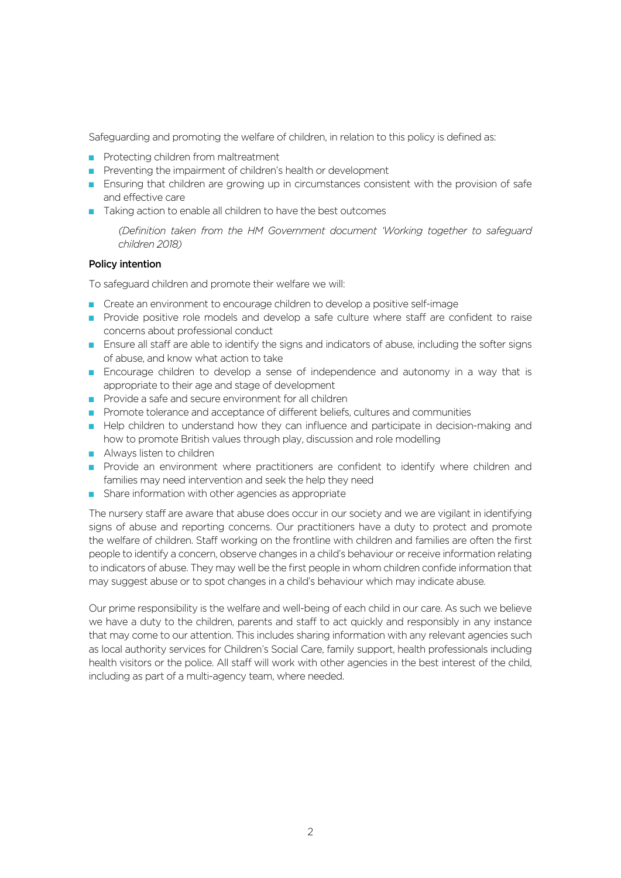Safeguarding and promoting the welfare of children, in relation to this policy is defined as:

- Protecting children from maltreatment
- Preventing the impairment of children's health or development
- **E** Ensuring that children are growing up in circumstances consistent with the provision of safe and effective care
- $\blacksquare$  Taking action to enable all children to have the best outcomes

 *(Definition taken from the HM Government document 'Working together to safeguard children 2018)*

## Policy intention

To safeguard children and promote their welfare we will:

- Create an environment to encourage children to develop a positive self-image
- **Provide positive role models and develop a safe culture where staff are confident to raise** concerns about professional conduct
- **E** Ensure all staff are able to identify the signs and indicators of abuse, including the softer signs of abuse, and know what action to take
- **E** Encourage children to develop a sense of independence and autonomy in a way that is appropriate to their age and stage of development
- Provide a safe and secure environment for all children
- **Promote tolerance and acceptance of different beliefs, cultures and communities**
- Help children to understand how they can influence and participate in decision-making and how to promote British values through play, discussion and role modelling
- $\blacksquare$  Always listen to children
- Provide an environment where practitioners are confident to identify where children and families may need intervention and seek the help they need
- $\blacksquare$  Share information with other agencies as appropriate

The nursery staff are aware that abuse does occur in our society and we are vigilant in identifying signs of abuse and reporting concerns. Our practitioners have a duty to protect and promote the welfare of children. Staff working on the frontline with children and families are often the first people to identify a concern, observe changes in a child's behaviour or receive information relating to indicators of abuse. They may well be the first people in whom children confide information that may suggest abuse or to spot changes in a child's behaviour which may indicate abuse.

Our prime responsibility is the welfare and well-being of each child in our care. As such we believe we have a duty to the children, parents and staff to act quickly and responsibly in any instance that may come to our attention. This includes sharing information with any relevant agencies such as local authority services for Children's Social Care, family support, health professionals including health visitors or the police. All staff will work with other agencies in the best interest of the child, including as part of a multi-agency team, where needed.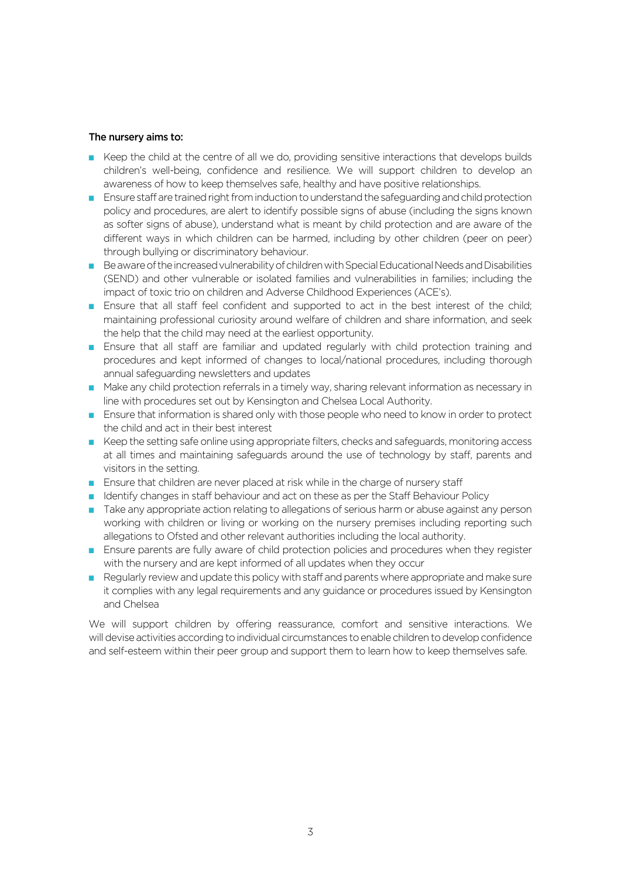#### The nursery aims to:

- E Keep the child at the centre of all we do, providing sensitive interactions that develops builds children's well-being, confidence and resilience. We will support children to develop an awareness of how to keep themselves safe, healthy and have positive relationships.
- **Ensure staff are trained right from induction to understand the safeguarding and child protection** policy and procedures, are alert to identify possible signs of abuse (including the signs known as softer signs of abuse), understand what is meant by child protection and are aware of the different ways in which children can be harmed, including by other children (peer on peer) through bullying or discriminatory behaviour.
- $\blacksquare$  Be aware of the increased vulnerability of children with Special Educational Needs and Disabilities (SEND) and other vulnerable or isolated families and vulnerabilities in families; including the impact of toxic trio on children and Adverse Childhood Experiences (ACE's).
- **Ensure that all staff feel confident and supported to act in the best interest of the child;** maintaining professional curiosity around welfare of children and share information, and seek the help that the child may need at the earliest opportunity.
- **Ensure that all staff are familiar and updated regularly with child protection training and** procedures and kept informed of changes to local/national procedures, including thorough annual safeguarding newsletters and updates
- Make any child protection referrals in a timely way, sharing relevant information as necessary in line with procedures set out by Kensington and Chelsea Local Authority.
- **E** Ensure that information is shared only with those people who need to know in order to protect the child and act in their best interest
- $\blacksquare$  Keep the setting safe online using appropriate filters, checks and safeguards, monitoring access at all times and maintaining safeguards around the use of technology by staff, parents and visitors in the setting.
- **Ensure that children are never placed at risk while in the charge of nursery staff**
- **I** Identify changes in staff behaviour and act on these as per the Staff Behaviour Policy
- **T** Take any appropriate action relating to allegations of serious harm or abuse against any person working with children or living or working on the nursery premises including reporting such allegations to Ofsted and other relevant authorities including the local authority.
- **E** Ensure parents are fully aware of child protection policies and procedures when they register with the nursery and are kept informed of all updates when they occur
- $\blacksquare$  Regularly review and update this policy with staff and parents where appropriate and make sure it complies with any legal requirements and any guidance or procedures issued by Kensington and Chelsea

We will support children by offering reassurance, comfort and sensitive interactions. We will devise activities according to individual circumstances to enable childrento develop confidence and self-esteem within their peer group and support them to learn how to keep themselves safe.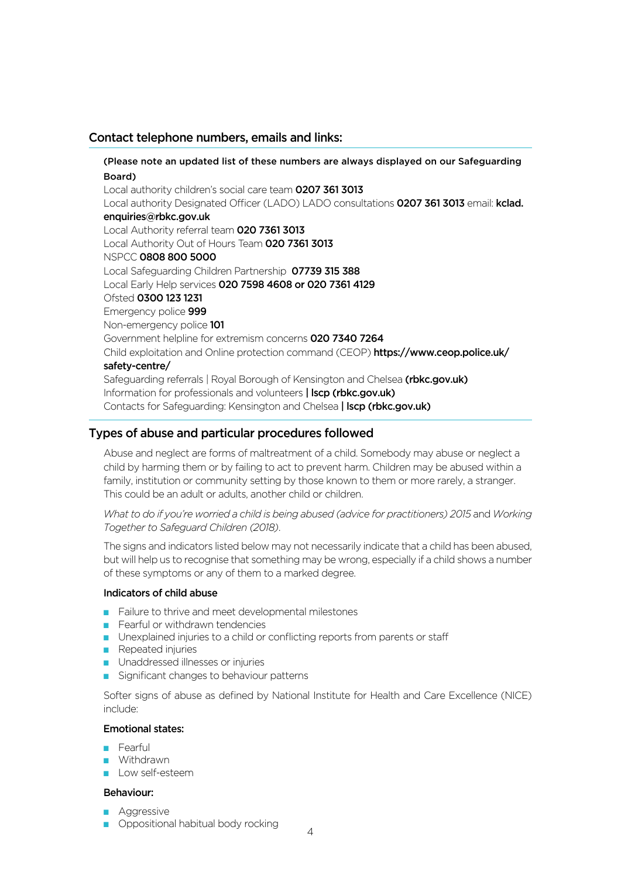# Contact telephone numbers, emails and links:

(Please note an updated list of these numbers are always displayed on our Safeguarding Board) Local authority children's social care team 0207 361 3013 Local authority Designated Officer (LADO) LADO consultations 0207 361 3013 email: kclad. enquiries@rbkc.gov.uk Local Authority referral team 020 7361 3013 Local Authority Out of Hours Team 020 7361 3013 NSPCC 0808 800 5000 Local Safeguarding Children Partnership 07739 315 388 Local Early Help services 020 7598 4608 or 020 7361 4129 Ofsted 0300 123 1231 Emergency police 999 Non-emergency police 101 Government helpline for extremism concerns 020 7340 7264 Child exploitation and Online protection command (CEOP) [https://www.ceop.police.uk/](https://www.ceop.police.uk/safety-centre/) [safety-centre/](https://www.ceop.police.uk/safety-centre/) Safeguarding referrals | Royal Borough of Kensington and Chelsea [\(rbkc.gov.uk\)](https://www.rbkc.gov.uk/lscp/) Information for professionals and volunteers | Iscp (rbkc.gov.uk) Contacts for Safeguarding: Kensington and Chelsea | Iscp (rbkc.gov.uk)

# Types of abuse and particular procedures followed

Abuse and neglect are forms of maltreatment of a child. Somebody may abuse or neglect a child by harming them or by failing to act to prevent harm. Children may be abused within a family, institution or community setting by those known to them or more rarely, a stranger. This could be an adult or adults, another child or children.

*What to do if you're worried a child is being abused (advice for practitioners) 2015 and Working Together to Safeguard Children (2018)*.

The signs and indicators listed below may not necessarily indicate that a child has been abused, but will help us to recognise that something may be wrong, especially if a child shows a number of these symptoms or any of them to a marked degree.

#### Indicators of child abuse

- $\blacksquare$  Failure to thrive and meet developmental milestones
- $\blacksquare$  Fearful or withdrawn tendencies
- $\blacksquare$  Unexplained injuries to a child or conflicting reports from parents or staff
- Repeated injuries
- **D** Unaddressed illnesses or injuries
- $\blacksquare$  Significant changes to behaviour patterns

Softer signs of abuse as defined by National Institute for Health and Care Excellence (NICE) include:

## Emotional states:

- **Fearful**
- **Withdrawn**
- **Low self-esteem**

#### Behaviour:

- **Aggressive**
- **•** Oppositional habitual body rocking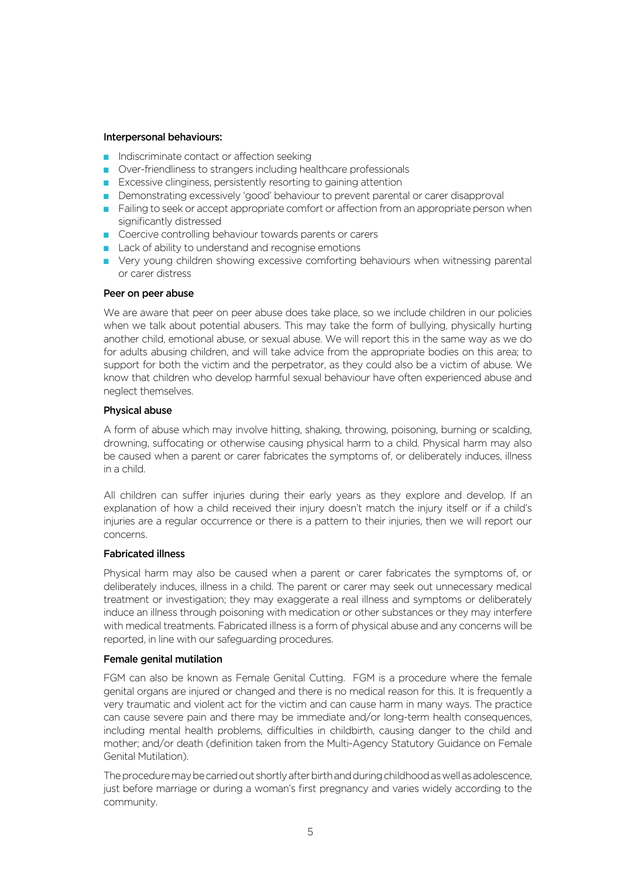#### Interpersonal behaviours:

- $\blacksquare$  Indiscriminate contact or affection seeking
- Over-friendliness to strangers including healthcare professionals
- Excessive clinginess, persistently resorting to gaining attention
- **Demonstrating excessively 'good' behaviour to prevent parental or carer disapproval**
- $\blacksquare$  Failing to seek or accept appropriate comfort or affection from an appropriate person when significantly distressed
- Coercive controlling behaviour towards parents or carers
- $\blacksquare$  Lack of ability to understand and recognise emotions
- **D** Very young children showing excessive comforting behaviours when witnessing parental or carer distress

#### Peer on peer abuse

We are aware that peer on peer abuse does take place, so we include children in our policies when we talk about potential abusers. This may take the form of bullying, physically hurting another child, emotional abuse, or sexual abuse. We will report this in the same way as we do for adults abusing children, and will take advice from the appropriate bodies on this area; to support for both the victim and the perpetrator, as they could also be a victim of abuse. We know that children who develop harmful sexual behaviour have often experienced abuse and neglect themselves.

#### Physical abuse

A form of abuse which may involve hitting, shaking, throwing, poisoning, burning or scalding, drowning, suffocating or otherwise causing physical harm to a child. Physical harm may also be caused when a parent or carer fabricates the symptoms of, or deliberately induces, illness in a child.

All children can suffer injuries during their early years as they explore and develop. If an explanation of how a child received their injury doesn't match the injury itself or if a child's injuries are a regular occurrence or there is a pattern to their injuries, then we will report our concerns.

#### Fabricated illness

Physical harm may also be caused when a parent or carer fabricates the symptoms of, or deliberately induces, illness in a child. The parent or carer may seek out unnecessary medical treatment or investigation; they may exaggerate a real illness and symptoms or deliberately induce an illness through poisoning with medication or other substances or they may interfere with medical treatments. Fabricated illness is a form of physical abuse and any concerns will be reported, in line with our safeguarding procedures.

#### Female genital mutilation

FGM can also be known as Female Genital Cutting. FGM is a procedure where the female genital organs are injured or changed and there is no medical reason for this. It is frequently a very traumatic and violent act for the victim and can cause harm in many ways. The practice can cause severe pain and there may be immediate and/or long-term health consequences, including mental health problems, difficulties in childbirth, causing danger to the child and mother; and/or death (definition taken from the Multi-Agency Statutory Guidance on Female Genital Mutilation).

The procedure may be carried out shortly after birth and during childhood as well as adolescence, just before marriage or during a woman's first pregnancy and varies widely according to the community.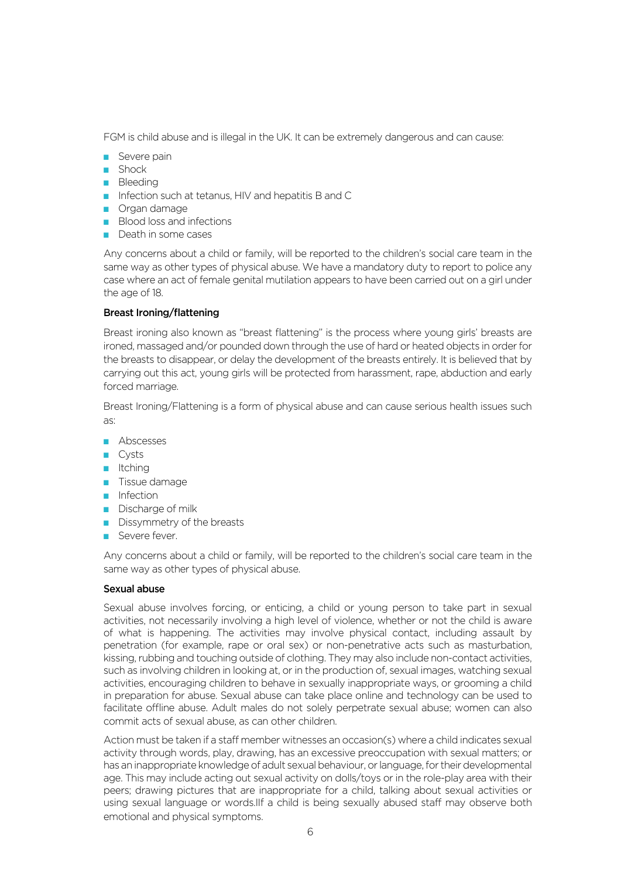FGM is child abuse and is illegal in the UK. It can be extremely dangerous and can cause:

- $\blacksquare$  Severe pain
- $\blacksquare$  Shock
- **Bleeding**
- $\blacksquare$  Infection such at tetanus, HIV and hepatitis B and C
- $\blacksquare$  Organ damage
- Blood loss and infections
- $\blacksquare$  Death in some cases

Any concerns about a child or family, will be reported to the children's social care team in the same way as other types of physical abuse. We have a mandatory duty to report to police any case where an act of female genital mutilation appears to have been carried out on a girl under the age of 18.

#### Breast Ironing/flattening

Breast ironing also known as "breast flattening" is the process where young girls' breasts are ironed, massaged and/or pounded down through the use of hard or heated objects in order for the breasts to disappear, or delay the development of the breasts entirely. It is believed that by carrying out this act, young girls will be protected from harassment, rape, abduction and early forced marriage.

Breast Ironing/Flattening is a form of physical abuse and can cause serious health issues such as:

- $\blacksquare$  Abscesses
- $\Box$  Cysts
- $\blacksquare$  Itching
- **Tissue damage**
- $\blacksquare$  Infection
- $\blacksquare$  Discharge of milk
- $\blacksquare$  Dissymmetry of the breasts
- Severe fever.

Any concerns about a child or family, will be reported to the children's social care team in the same way as other types of physical abuse.

#### Sexual abuse

Sexual abuse involves forcing, or enticing, a child or young person to take part in sexual activities, not necessarily involving a high level of violence, whether or not the child is aware of what is happening. The activities may involve physical contact, including assault by penetration (for example, rape or oral sex) or non-penetrative acts such as masturbation, kissing, rubbing and touching outside of clothing. They may also include non-contact activities, such as involving children in looking at, or in the production of, sexual images, watching sexual activities, encouraging children to behave in sexually inappropriate ways, or grooming a child in preparation for abuse. Sexual abuse can take place online and technology can be used to facilitate offline abuse. Adult males do not solely perpetrate sexual abuse; women can also commit acts of sexual abuse, as can other children.

Action must be taken if a staff member witnesses an occasion(s) where a child indicates sexual activity through words, play, drawing, has an excessive preoccupation with sexual matters; or has an inappropriate knowledge of adult sexual behaviour, or language, for their developmental age. This may include acting out sexual activity on dolls/toys or in the role-play area with their peers; drawing pictures that are inappropriate for a child, talking about sexual activities or using sexual language or words.IIf a child is being sexually abused staff may observe both emotional and physical symptoms.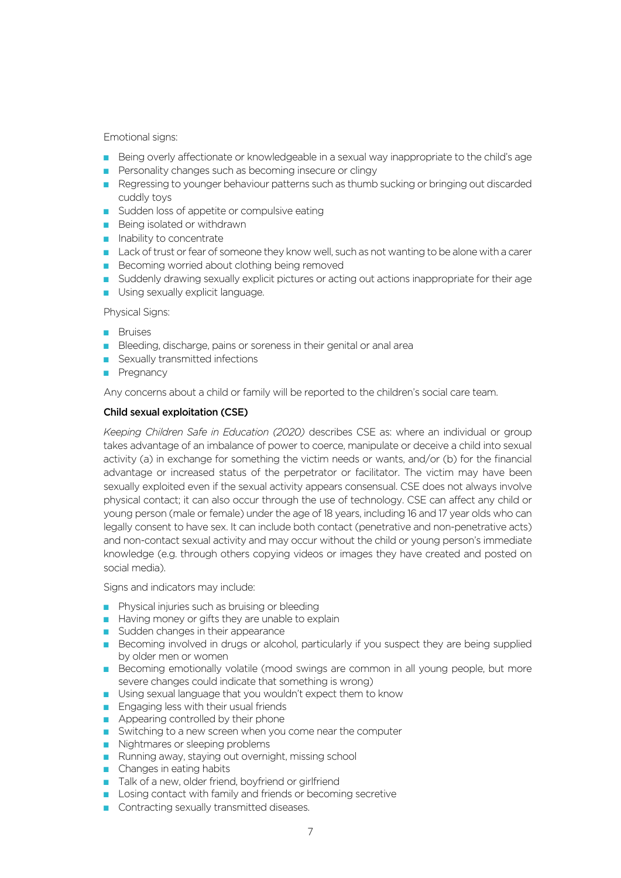#### Emotional signs:

- **Being overly affectionate or knowledgeable in a sexual way inappropriate to the child's age**
- $\blacksquare$  Personality changes such as becoming insecure or clingy
- Regressing to younger behaviour patterns such as thumb sucking or bringing out discarded cuddly toys
- Sudden loss of appetite or compulsive eating
- $\blacksquare$  Being isolated or withdrawn
- $\blacksquare$  Inability to concentrate
- Lack of trust or fear of someone they know well, such as not wanting to be alone with a carer
- $\blacksquare$  Becoming worried about clothing being removed
- Suddenly drawing sexually explicit pictures or acting out actions inappropriate for their age
- **Using sexually explicit language.**

Physical Signs:

- **Bruises**
- $\blacksquare$  Bleeding, discharge, pains or soreness in their genital or anal area
- $\blacksquare$  Sexually transmitted infections
- **Pregnancy**

Any concerns about a child or family will be reported to the children's social care team.

## Child sexual exploitation (CSE)

*Keeping Children Safe in Education (2020)* describes CSE as: where an individual or group takes advantage of an imbalance of power to coerce, manipulate or deceive a child into sexual activity (a) in exchange for something the victim needs or wants, and/or (b) for the financial advantage or increased status of the perpetrator or facilitator. The victim may have been sexually exploited even if the sexual activity appears consensual. CSE does not always involve physical contact; it can also occur through the use of technology. CSE can affect any child or young person (male or female) under the age of 18 years, including 16 and 17 year olds who can legally consent to have sex. It can include both contact (penetrative and non-penetrative acts) and non-contact sexual activity and may occur without the child or young person's immediate knowledge (e.g. through others copying videos or images they have created and posted on social media).

Signs and indicators may include:

- $\blacksquare$  Physical injuries such as bruising or bleeding
- $\blacksquare$  Having money or gifts they are unable to explain
- $\blacksquare$  Sudden changes in their appearance
- **Becoming involved in drugs or alcohol, particularly if you suspect they are being supplied** by older men or women
- **Becoming emotionally volatile (mood swings are common in all young people, but more** severe changes could indicate that something is wrong)
- $\blacksquare$  Using sexual language that you wouldn't expect them to know
- **Engaging less with their usual friends**
- $\blacksquare$  Appearing controlled by their phone
- Switching to a new screen when you come near the computer
- $\blacksquare$  Nightmares or sleeping problems
- Running away, staying out overnight, missing school
- $\blacksquare$  Changes in eating habits
- **Talk of a new, older friend, boyfriend or girlfriend**
- **Losing contact with family and friends or becoming secretive**
- Contracting sexually transmitted diseases.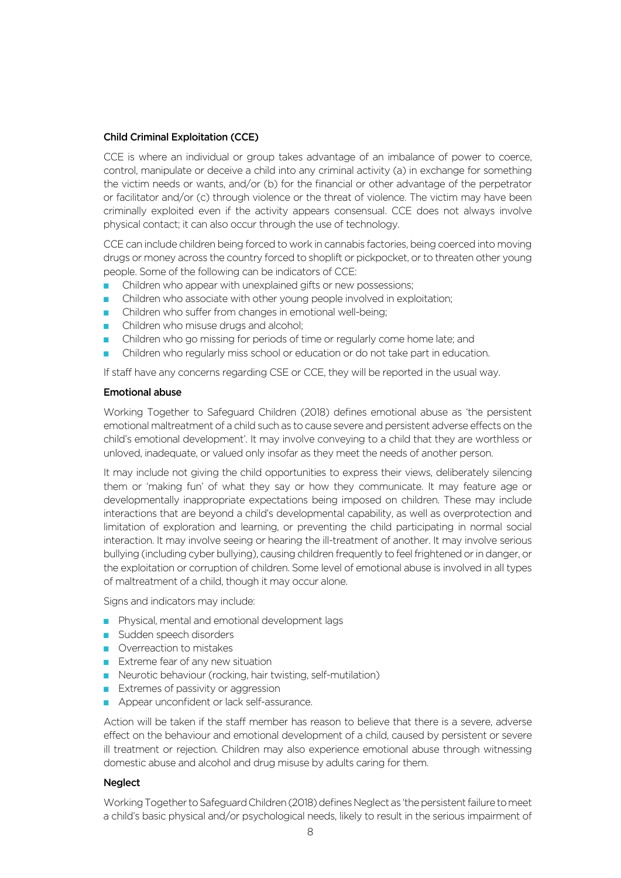## Child Criminal Exploitation (CCE)

CCE is where an individual or group takes advantage of an imbalance of power to coerce, control, manipulate or deceive a child into any criminal activity (a) in exchange for something the victim needs or wants, and/or (b) for the financial or other advantage of the perpetrator or facilitator and/or (c) through violence or the threat of violence. The victim may have been criminally exploited even if the activity appears consensual. CCE does not always involve physical contact; it can also occur through the use of technology.

CCE can include children being forced to work in cannabis factories, being coerced into moving drugs or money across the country forced to shoplift or pickpocket, or to threaten other young people. Some of the following can be indicators of CCE:

- Children who appear with unexplained gifts or new possessions;
- Children who associate with other young people involved in exploitation;
- Children who suffer from changes in emotional well-being;
- Children who misuse drugs and alcohol:
- Children who go missing for periods of time or regularly come home late; and
- Children who regularly miss school or education or do not take part in education.

If staff have any concerns regarding CSE or CCE, they will be reported in the usual way.

## Emotional abuse

Working Together to Safeguard Children (2018) defines emotional abuse as 'the persistent emotional maltreatment of a child such as to cause severe and persistent adverse effects on the child's emotional development'. It may involve conveying to a child that they are worthless or unloved, inadequate, or valued only insofar as they meet the needs of another person.

It may include not giving the child opportunities to express their views, deliberately silencing them or 'making fun' of what they say or how they communicate. It may feature age or developmentally inappropriate expectations being imposed on children. These may include interactions that are beyond a child's developmental capability, as well as overprotection and limitation of exploration and learning, or preventing the child participating in normal social interaction. It may involve seeing or hearing the ill-treatment of another. It may involve serious bullying (including cyber bullying), causing children frequently to feel frightened or in danger, or the exploitation or corruption of children. Some level of emotional abuse is involved in all types of maltreatment of a child, though it may occur alone.

Signs and indicators may include:

- **Physical, mental and emotional development lags**
- $\blacksquare$  Sudden speech disorders
- **Overreaction to mistakes**
- $\blacksquare$  Extreme fear of any new situation
- **Neurotic behaviour (rocking, hair twisting, self-mutilation)**
- $\blacksquare$  Extremes of passivity or aggression
- Appear unconfident or lack self-assurance.

Action will be taken if the staff member has reason to believe that there is a severe, adverse effect on the behaviour and emotional development of a child, caused by persistent or severe ill treatment or rejection. Children may also experience emotional abuse through witnessing domestic abuse and alcohol and drug misuse by adults caring for them.

## **Neglect**

Working Together to Safeguard Children (2018) defines Neglect as 'the persistent failure to meet a child's basic physical and/or psychological needs, likely to result in the serious impairment of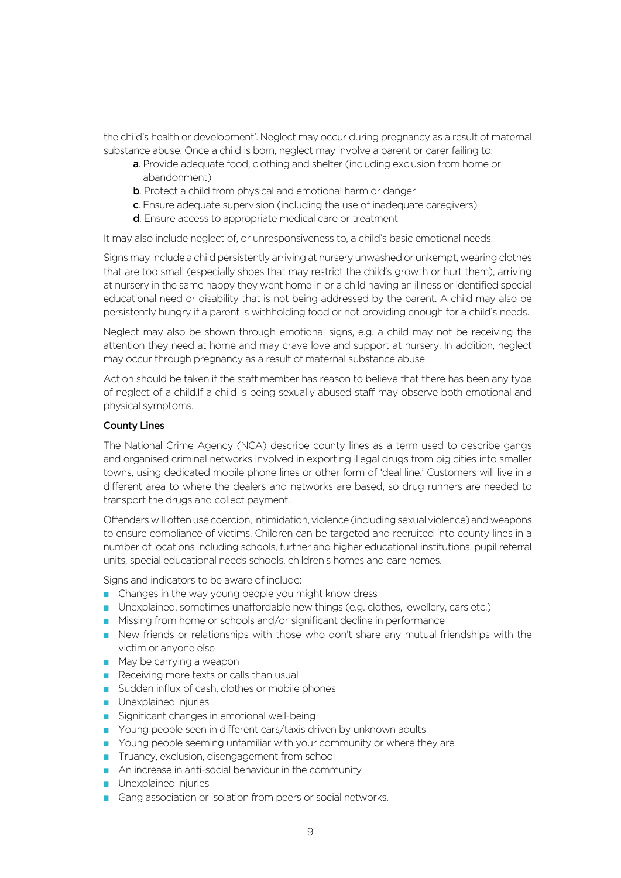the child's health or development'. Neglect may occur during pregnancy as a result of maternal substance abuse. Once a child is born, neglect may involve a parent or carer failing to:

- a. Provide adequate food, clothing and shelter (including exclusion from home or abandonment)
- **b**. Protect a child from physical and emotional harm or danger
- c. Ensure adequate supervision (including the use of inadequate caregivers)
- d. Ensure access to appropriate medical care or treatment

It may also include neglect of, or unresponsiveness to, a child's basic emotional needs.

Signs may include a child persistently arriving at nursery unwashed or unkempt, wearing clothes that are too small (especially shoes that may restrict the child's growth or hurt them), arriving at nursery in the same nappy they went home in or a child having an illness or identified special educational need or disability that is not being addressed by the parent. A child may also be persistently hungry if a parent is withholding food or not providing enough for a child's needs.

Neglect may also be shown through emotional signs, e.g. a child may not be receiving the attention they need at home and may crave love and support at nursery. In addition, neglect may occur through pregnancy as a result of maternal substance abuse.

Action should be taken if the staff member has reason to believe that there has been any type of neglect of a child.If a child is being sexually abused staff may observe both emotional and physical symptoms.

#### County Lines

The National Crime Agency (NCA) describe county lines as a term used to describe gangs and organised criminal networks involved in exporting illegal drugs from big cities into smaller towns, using dedicated mobile phone lines or other form of 'deal line.' Customers will live in a different area to where the dealers and networks are based, so drug runners are needed to transport the drugs and collect payment.

Offenders will often use coercion, intimidation, violence (including sexual violence) and weapons to ensure compliance of victims. Children can be targeted and recruited into county lines in a number of locations including schools, further and higher educational institutions, pupil referral units, special educational needs schools, children's homes and care homes.

Signs and indicators to be aware of include:

- $\blacksquare$  Changes in the way young people you might know dress
- D Unexplained, sometimes unaffordable new things (e.g. clothes, jewellery, cars etc.)
- Missing from home or schools and/or significant decline in performance
- **P** New friends or relationships with those who don't share any mutual friendships with the victim or anyone else
- $\blacksquare$  May be carrying a weapon
- $\blacksquare$  Receiving more texts or calls than usual
- Sudden influx of cash, clothes or mobile phones
- $\blacksquare$  Unexplained injuries
- $\blacksquare$  Significant changes in emotional well-being
- Young people seen in different cars/taxis driven by unknown adults
- $\blacksquare$  Young people seeming unfamiliar with your community or where they are
- **Truancy, exclusion, disengagement from school**
- $\blacksquare$  An increase in anti-social behaviour in the community
- **Unexplained injuries**
- Gang association or isolation from peers or social networks.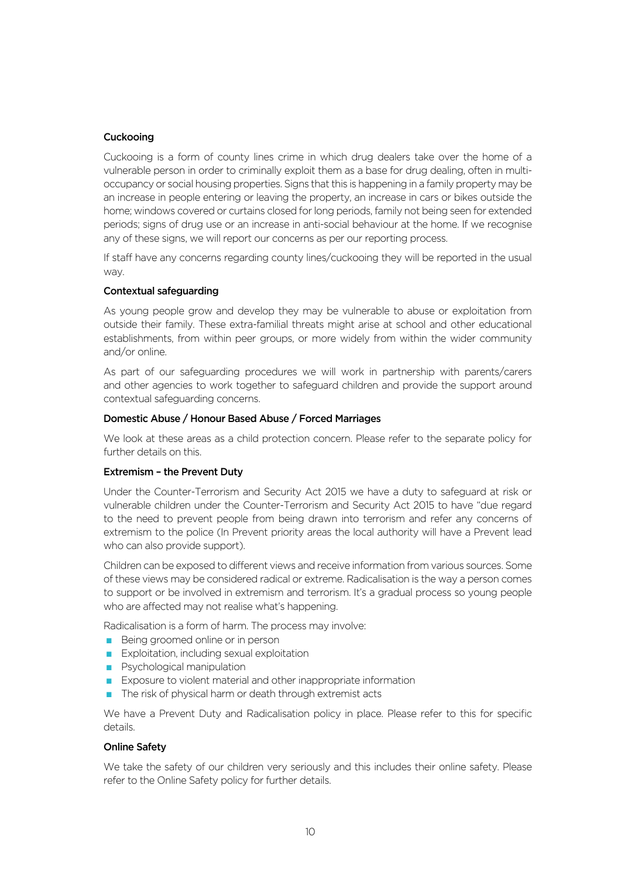## Cuckooing

Cuckooing is a form of county lines crime in which drug dealers take over the home of a vulnerable person in order to criminally exploit them as a base for drug dealing, often in multioccupancy or social housing properties. Signs that this is happening in a family property may be an increase in people entering or leaving the property, an increase in cars or bikes outside the home; windows covered or curtains closed for long periods, family not being seen for extended periods; signs of drug use or an increase in anti-social behaviour at the home. If we recognise any of these signs, we will report our concerns as per our reporting process.

If staff have any concerns regarding county lines/cuckooing they will be reported in the usual way.

#### Contextual safeguarding

As young people grow and develop they may be vulnerable to abuse or exploitation from outside their family. These extra-familial threats might arise at school and other educational establishments, from within peer groups, or more widely from within the wider community and/or online.

As part of our safeguarding procedures we will work in partnership with parents/carers and other agencies to work together to safeguard children and provide the support around contextual safeguarding concerns.

## Domestic Abuse / Honour Based Abuse / Forced Marriages

We look at these areas as a child protection concern. Please refer to the separate policy for further details on this.

## Extremism – the Prevent Duty

Under the Counter-Terrorism and Security Act 2015 we have a duty to safeguard at risk or vulnerable children under the Counter-Terrorism and Security Act 2015 to have "due regard to the need to prevent people from being drawn into terrorism and refer any concerns of extremism to the police (In Prevent priority areas the local authority will have a Prevent lead who can also provide support).

Children can be exposed to different views and receive information from various sources. Some of these views may be considered radical or extreme. Radicalisation is the way a person comes to support or be involved in extremism and terrorism. It's a gradual process so young people who are affected may not realise what's happening.

Radicalisation is a form of harm. The process may involve:

- $\blacksquare$  Being groomed online or in person
- $\blacksquare$  Exploitation, including sexual exploitation
- **Psychological manipulation**
- $\blacksquare$  Exposure to violent material and other inappropriate information
- $\blacksquare$  The risk of physical harm or death through extremist acts

We have a Prevent Duty and Radicalisation policy in place. Please refer to this for specific details.

## Online Safety

We take the safety of our children very seriously and this includes their online safety. Please refer to the Online Safety policy for further details.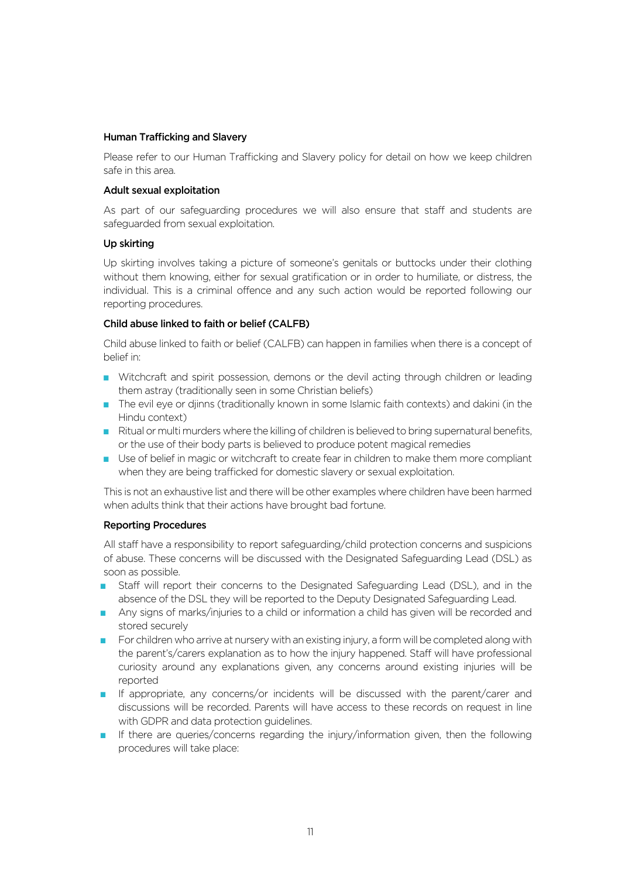#### Human Trafficking and Slavery

Please refer to our Human Trafficking and Slavery policy for detail on how we keep children safe in this area.

#### Adult sexual exploitation

As part of our safeguarding procedures we will also ensure that staff and students are safeguarded from sexual exploitation.

#### Up skirting

Up skirting involves taking a picture of someone's genitals or buttocks under their clothing without them knowing, either for sexual gratification or in order to humiliate, or distress, the individual. This is a criminal offence and any such action would be reported following our reporting procedures.

## Child abuse linked to faith or belief (CALFB)

Child abuse linked to faith or belief (CALFB) can happen in families when there is a concept of belief in:

- **N** Witchcraft and spirit possession, demons or the devil acting through children or leading them astray (traditionally seen in some Christian beliefs)
- The evil eye or djinns (traditionally known in some Islamic faith contexts) and dakini (in the Hindu context)
- Ritual or multi murders where the killing of children is believed to bring supernatural benefits, or the use of their body parts is believed to produce potent magical remedies
- **D** Use of belief in magic or witchcraft to create fear in children to make them more compliant when they are being trafficked for domestic slavery or sexual exploitation.

This is not an exhaustive list and there will be other examples where children have been harmed when adults think that their actions have brought bad fortune.

#### Reporting Procedures

All staff have a responsibility to report safeguarding/child protection concerns and suspicions of abuse. These concerns will be discussed with the Designated Safeguarding Lead (DSL) as soon as possible.

- Staff will report their concerns to the Designated Safeguarding Lead (DSL), and in the absence of the DSL they will be reported to the Deputy Designated Safeguarding Lead.
- Any signs of marks/injuries to a child or information a child has given will be recorded and stored securely
- $\blacksquare$  For children who arrive at nursery with an existing injury, a form will be completed along with the parent's/carers explanation as to how the injury happened. Staff will have professional curiosity around any explanations given, any concerns around existing injuries will be reported
- **If appropriate, any concerns/or incidents will be discussed with the parent/carer and** discussions will be recorded. Parents will have access to these records on request in line with GDPR and data protection guidelines.
- **If there are queries/concerns regarding the injury/information given, then the following** procedures will take place: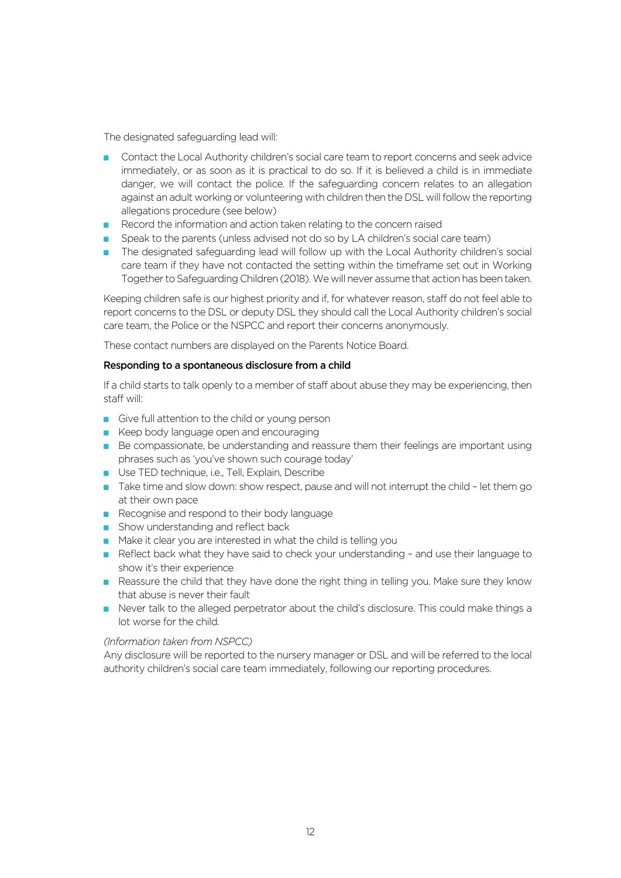The designated safeguarding lead will:

- **Contact the Local Authority children's social care team to report concerns and seek advice** immediately, or as soon as it is practical to do so. If it is believed a child is in immediate danger, we will contact the police. If the safeguarding concern relates to an allegation against an adult working or volunteering with children then the DSL will follow the reporting allegations procedure (see below)
- Record the information and action taken relating to the concern raised
- Speak to the parents (unless advised not do so by LA children's social care team)
- The designated safeguarding lead will follow up with the Local Authority children's social care team if they have not contacted the setting within the timeframe set out in Working Together to Safeguarding Children (2018). We will never assume that action has been taken.

Keeping children safe is our highest priority and if, for whatever reason, staff do not feel able to report concerns to the DSL or deputy DSL they should call the Local Authority children's social care team, the Police or the NSPCC and report their concerns anonymously.

These contact numbers are displayed on the Parents Notice Board.

#### Responding to a spontaneous disclosure from a child

If a child starts to talk openly to a member of staff about abuse they may be experiencing, then staff will:

- $\Box$  Give full attention to the child or young person
- $\blacksquare$  Keep body language open and encouraging
- **Be compassionate, be understanding and reassure them their feelings are important using** phrases such as 'you've shown such courage today'
- **Use TED technique, i.e., Tell, Explain, Describe**
- Take time and slow down: show respect, pause and will not interrupt the child let them go at their own pace
- $\blacksquare$  Recognise and respond to their body language
- $\blacksquare$  Show understanding and reflect back
- $\blacksquare$  Make it clear you are interested in what the child is telling you
- $\blacksquare$  Reflect back what they have said to check your understanding and use their language to show it's their experience
- Reassure the child that they have done the right thing in telling you. Make sure they know that abuse is never their fault
- **Never talk to the alleged perpetrator about the child's disclosure. This could make things a** lot worse for the child.

#### *(Information taken from NSPCC)*

Any disclosure will be reported to the nursery manager or DSL and will be referred to the local authority children's social care team immediately, following our reporting procedures.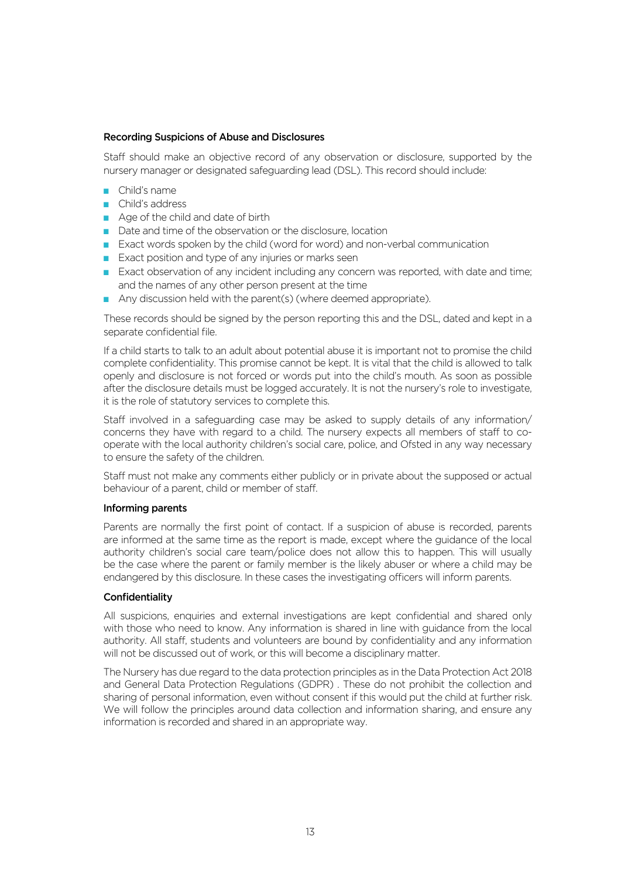#### Recording Suspicions of Abuse and Disclosures

Staff should make an objective record of any observation or disclosure, supported by the nursery manager or designated safeguarding lead (DSL). This record should include:

- $\Box$  Child's name
- Child's address
- $\blacksquare$  Age of the child and date of birth
- Date and time of the observation or the disclosure, location
- **EXact words spoken by the child (word for word) and non-verbal communication**
- $\blacksquare$  Exact position and type of any injuries or marks seen
- **Exact observation of any incident including any concern was reported, with date and time;** and the names of any other person present at the time
- Any discussion held with the parent(s) (where deemed appropriate).

These records should be signed by the person reporting this and the DSL, dated and kept in a separate confidential file.

If a child starts to talk to an adult about potential abuse it is important not to promise the child complete confidentiality. This promise cannot be kept. It is vital that the child is allowed to talk openly and disclosure is not forced or words put into the child's mouth. As soon as possible after the disclosure details must be logged accurately. It is not the nursery's role to investigate, it is the role of statutory services to complete this.

Staff involved in a safeguarding case may be asked to supply details of any information/ concerns they have with regard to a child. The nursery expects all members of staff to cooperate with the local authority children's social care, police, and Ofsted in any way necessary to ensure the safety of the children.

Staff must not make any comments either publicly or in private about the supposed or actual behaviour of a parent, child or member of staff.

#### Informing parents

Parents are normally the first point of contact. If a suspicion of abuse is recorded, parents are informed at the same time as the report is made, except where the guidance of the local authority children's social care team/police does not allow this to happen. This will usually be the case where the parent or family member is the likely abuser or where a child may be endangered by this disclosure. In these cases the investigating officers will inform parents.

#### Confidentiality

All suspicions, enquiries and external investigations are kept confidential and shared only with those who need to know. Any information is shared in line with guidance from the local authority. All staff, students and volunteers are bound by confidentiality and any information will not be discussed out of work, or this will become a disciplinary matter.

The Nursery has due regard to the data protection principles as in the Data Protection Act 2018 and General Data Protection Regulations (GDPR) . These do not prohibit the collection and sharing of personal information, even without consent if this would put the child at further risk. We will follow the principles around data collection and information sharing, and ensure any information is recorded and shared in an appropriate way.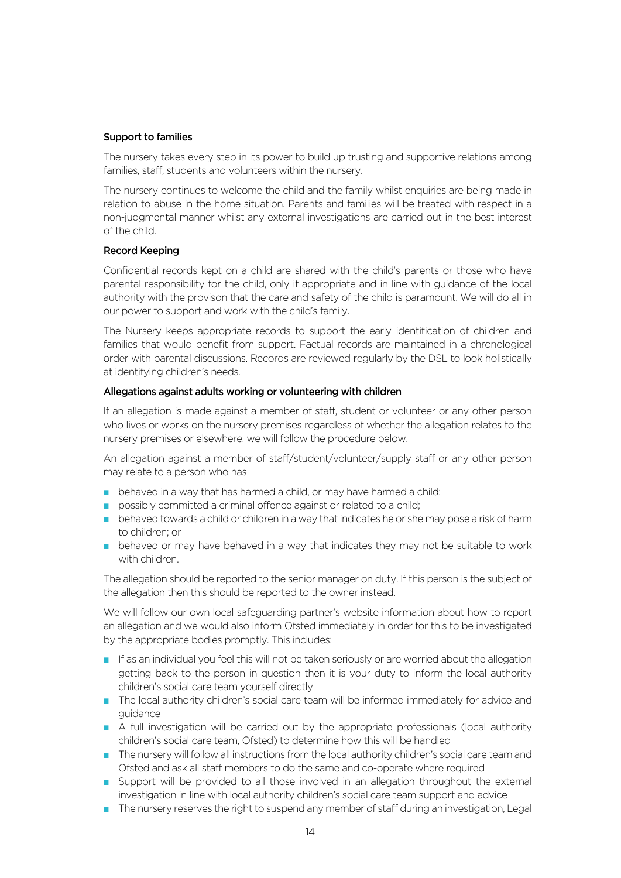#### Support to families

The nursery takes every step in its power to build up trusting and supportive relations among families, staff, students and volunteers within the nursery.

The nursery continues to welcome the child and the family whilst enquiries are being made in relation to abuse in the home situation. Parents and families will be treated with respect in a non-judgmental manner whilst any external investigations are carried out in the best interest of the child.

#### Record Keeping

Confidential records kept on a child are shared with the child's parents or those who have parental responsibility for the child, only if appropriate and in line with guidance of the local authority with the provison that the care and safety of the child is paramount. We will do all in our power to support and work with the child's family.

The Nursery keeps appropriate records to support the early identification of children and families that would benefit from support. Factual records are maintained in a chronological order with parental discussions. Records are reviewed regularly by the DSL to look holistically at identifying children's needs.

#### Allegations against adults working or volunteering with children

If an allegation is made against a member of staff, student or volunteer or any other person who lives or works on the nursery premises regardless of whether the allegation relates to the nursery premises or elsewhere, we will follow the procedure below.

An allegation against a member of staff/student/volunteer/supply staff or any other person may relate to a person who has

- $\blacksquare$  behaved in a way that has harmed a child, or may have harmed a child;
- possibly committed a criminal offence against or related to a child;
- **DED** behaved towards a child or children in a way that indicates he or she may pose a risk of harm to children; or
- **D** behaved or may have behaved in a way that indicates they may not be suitable to work with children.

The allegation should be reported to the senior manager on duty. If this person is the subject of the allegation then this should be reported to the owner instead.

We will follow our own local safeguarding partner's website information about how to report an allegation and we would also inform Ofsted immediately in order for this to be investigated by the appropriate bodies promptly. This includes:

- If as an individual you feel this will not be taken seriously or are worried about the allegation getting back to the person in question then it is your duty to inform the local authority children's social care team yourself directly
- The local authority children's social care team will be informed immediately for advice and guidance
- $\blacksquare$  A full investigation will be carried out by the appropriate professionals (local authority children's social care team, Ofsted) to determine how this will be handled
- $\blacksquare$  The nursery will follow all instructions from the local authority children's social care team and Ofsted and ask all staff members to do the same and co-operate where required
- **D** Support will be provided to all those involved in an allegation throughout the external investigation in line with local authority children's social care team support and advice
- The nursery reserves the right to suspend any member of staff during an investigation, Legal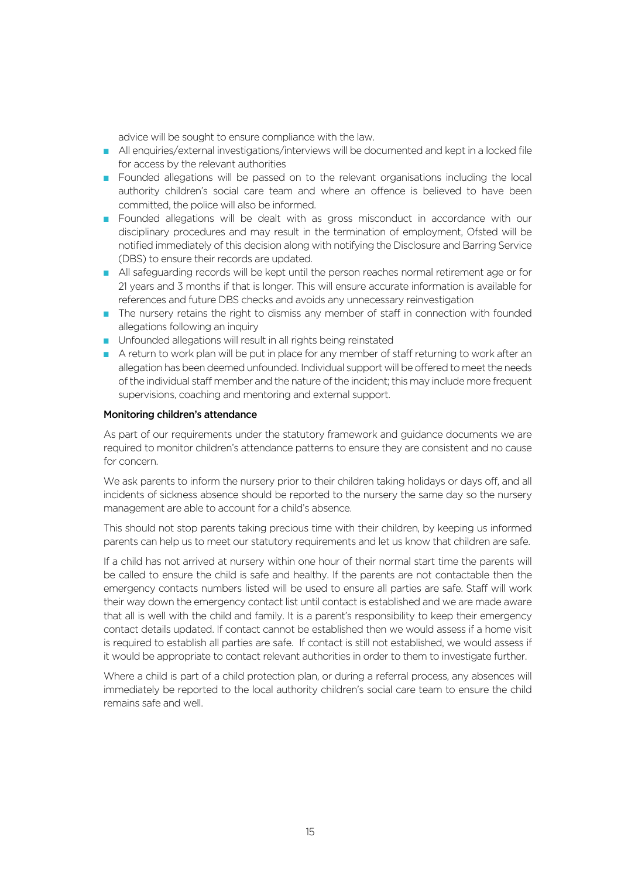advice will be sought to ensure compliance with the law.

- All enquiries/external investigations/interviews will be documented and kept in a locked file for access by the relevant authorities
- **DED** Founded allegations will be passed on to the relevant organisations including the local authority children's social care team and where an offence is believed to have been committed, the police will also be informed.
- **Example 5 Founded allegations will be dealt with as gross misconduct in accordance with our** disciplinary procedures and may result in the termination of employment, Ofsted will be notified immediately of this decision along with notifying the Disclosure and Barring Service (DBS) to ensure their records are updated.
- All safeguarding records will be kept until the person reaches normal retirement age or for 21 years and 3 months if that is longer. This will ensure accurate information is available for references and future DBS checks and avoids any unnecessary reinvestigation
- **D** The nursery retains the right to dismiss any member of staff in connection with founded allegations following an inquiry
- $\blacksquare$  Unfounded allegations will result in all rights being reinstated
- $\blacksquare$  A return to work plan will be put in place for any member of staff returning to work after an allegation has been deemed unfounded. Individual support will be offered to meet the needs of the individual staff member and the nature of the incident; this may include more frequent supervisions, coaching and mentoring and external support.

#### Monitoring children's attendance

As part of our requirements under the statutory framework and guidance documents we are required to monitor children's attendance patterns to ensure they are consistent and no cause for concern.

We ask parents to inform the nursery prior to their children taking holidays or days off, and all incidents of sickness absence should be reported to the nursery the same day so the nursery management are able to account for a child's absence.

This should not stop parents taking precious time with their children, by keeping us informed parents can help us to meet our statutory requirements and let us know that children are safe.

If a child has not arrived at nursery within one hour of their normal start time the parents will be called to ensure the child is safe and healthy. If the parents are not contactable then the emergency contacts numbers listed will be used to ensure all parties are safe. Staff will work their way down the emergency contact list until contact is established and we are made aware that all is well with the child and family. It is a parent's responsibility to keep their emergency contact details updated. If contact cannot be established then we would assess if a home visit is required to establish all parties are safe. If contact is still not established, we would assess if it would be appropriate to contact relevant authorities in order to them to investigate further.

Where a child is part of a child protection plan, or during a referral process, any absences will immediately be reported to the local authority children's social care team to ensure the child remains safe and well.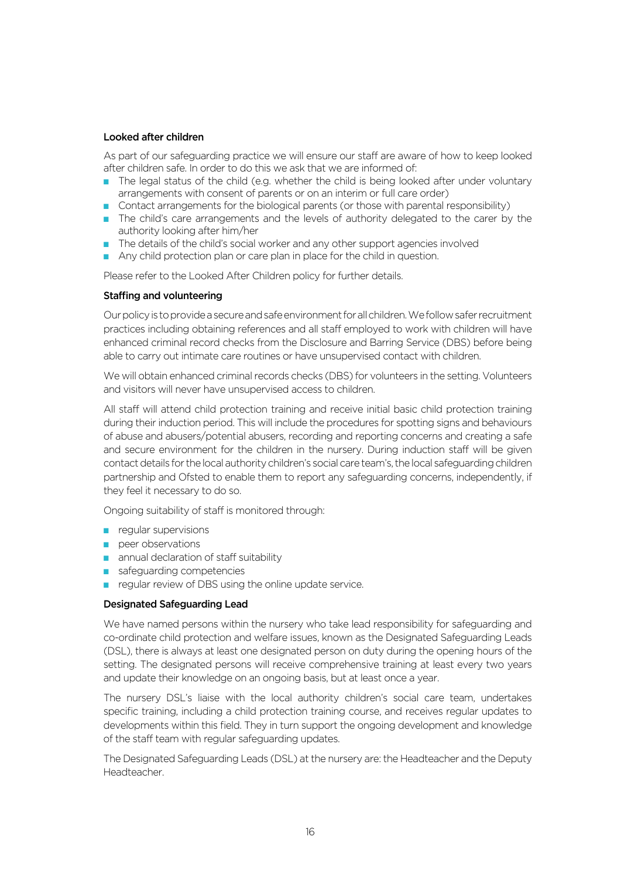#### Looked after children

As part of our safeguarding practice we will ensure our staff are aware of how to keep looked after children safe. In order to do this we ask that we are informed of:

- $\blacksquare$  The legal status of the child (e.g. whether the child is being looked after under voluntary arrangements with consent of parents or on an interim or full care order)
- Contact arrangements for the biological parents (or those with parental responsibility)
- The child's care arrangements and the levels of authority delegated to the carer by the authority looking after him/her
- The details of the child's social worker and any other support agencies involved
- Any child protection plan or care plan in place for the child in question.

Please refer to the Looked After Children policy for further details.

#### Staffing and volunteering

Our policy is to provide a secure and safe environment for all children. We follow safer recruitment practices including obtaining references and all staff employed to work with children will have enhanced criminal record checks from the Disclosure and Barring Service (DBS) before being able to carry out intimate care routines or have unsupervised contact with children.

We will obtain enhanced criminal records checks (DBS) for volunteers in the setting. Volunteers and visitors will never have unsupervised access to children.

All staff will attend child protection training and receive initial basic child protection training during their induction period. This will include the procedures for spotting signs and behaviours of abuse and abusers/potential abusers, recording and reporting concerns and creating a safe and secure environment for the children in the nursery. During induction staff will be given contact details for the local authority children's social care team's, the local safeguarding children partnership and Ofsted to enable them to report any safeguarding concerns, independently, if they feel it necessary to do so.

Ongoing suitability of staff is monitored through:

- $\blacksquare$  regular supervisions
- $\blacksquare$  peer observations
- $\blacksquare$  annual declaration of staff suitability
- $\blacksquare$  safeguarding competencies
- **p** regular review of DBS using the online update service.

#### Designated Safeguarding Lead

We have named persons within the nursery who take lead responsibility for safeguarding and co-ordinate child protection and welfare issues, known as the Designated Safeguarding Leads (DSL), there is always at least one designated person on duty during the opening hours of the setting. The designated persons will receive comprehensive training at least every two years and update their knowledge on an ongoing basis, but at least once a year.

The nursery DSL's liaise with the local authority children's social care team, undertakes specific training, including a child protection training course, and receives regular updates to developments within this field. They in turn support the ongoing development and knowledge of the staff team with regular safeguarding updates.

The Designated Safeguarding Leads (DSL) at the nursery are: the Headteacher and the Deputy Headteacher.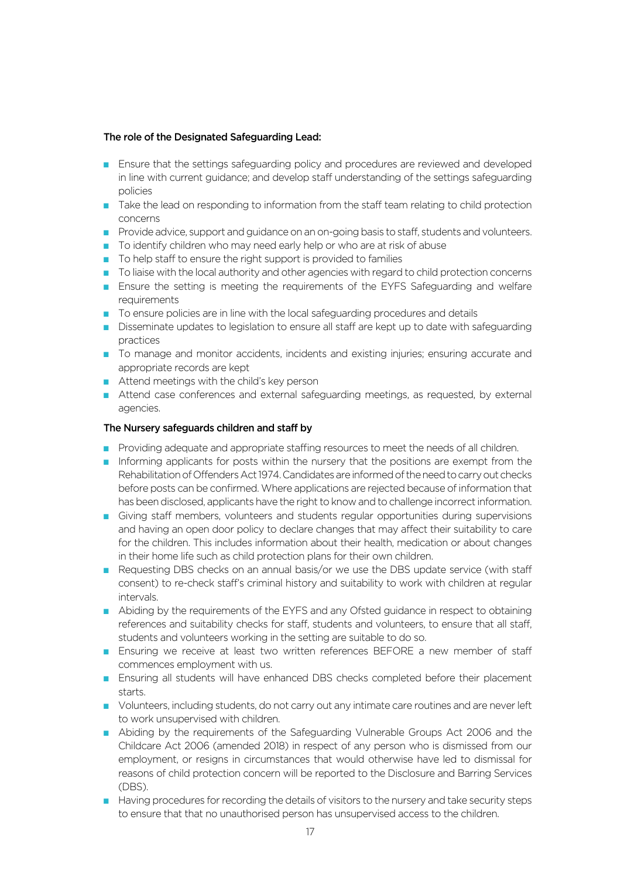## The role of the Designated Safeguarding Lead:

- **Ensure that the settings safeguarding policy and procedures are reviewed and developed** in line with current guidance; and develop staff understanding of the settings safeguarding policies
- Take the lead on responding to information from the staff team relating to child protection concerns
- **Provide advice, support and guidance on an on-going basis to staff, students and volunteers.**
- D To identify children who may need early help or who are at risk of abuse
- $\blacksquare$  To help staff to ensure the right support is provided to families
- $\blacksquare$  To liaise with the local authority and other agencies with regard to child protection concerns
- **E** Ensure the setting is meeting the requirements of the EYFS Safeguarding and welfare requirements
- $\blacksquare$  To ensure policies are in line with the local safeguarding procedures and details
- Disseminate updates to legislation to ensure all staff are kept up to date with safeguarding practices
- **The manage and monitor accidents, incidents and existing injuries; ensuring accurate and in The Monitor and in** appropriate records are kept
- $\blacksquare$  Attend meetings with the child's key person
- Attend case conferences and external safeguarding meetings, as requested, by external agencies.

## The Nursery safeguards children and staff by

- Providing adequate and appropriate staffing resources to meet the needs of all children.
- Informing applicants for posts within the nursery that the positions are exempt from the Rehabilitation of Offenders Act 1974. Candidates are informed of the need to carry out checks before posts can be confirmed. Where applications are rejected because of information that has been disclosed, applicants have the right to know and to challenge incorrect information.
- Giving staff members, volunteers and students regular opportunities during supervisions and having an open door policy to declare changes that may affect their suitability to care for the children. This includes information about their health, medication or about changes in their home life such as child protection plans for their own children.
- Requesting DBS checks on an annual basis/or we use the DBS update service (with staff consent) to re-check staff's criminal history and suitability to work with children at regular intervals.
- Abiding by the requirements of the EYFS and any Ofsted guidance in respect to obtaining references and suitability checks for staff, students and volunteers, to ensure that all staff, students and volunteers working in the setting are suitable to do so.
- **Ensuring we receive at least two written references BEFORE a new member of staff** commences employment with us.
- **Ensuring all students will have enhanced DBS checks completed before their placement** starts.
- **D** Volunteers, including students, do not carry out any intimate care routines and are never left to work unsupervised with children.
- Abiding by the requirements of the Safeguarding Vulnerable Groups Act 2006 and the Childcare Act 2006 (amended 2018) in respect of any person who is dismissed from our employment, or resigns in circumstances that would otherwise have led to dismissal for reasons of child protection concern will be reported to the Disclosure and Barring Services (DBS).
- **Having procedures for recording the details of visitors to the nursery and take security steps** to ensure that that no unauthorised person has unsupervised access to the children.